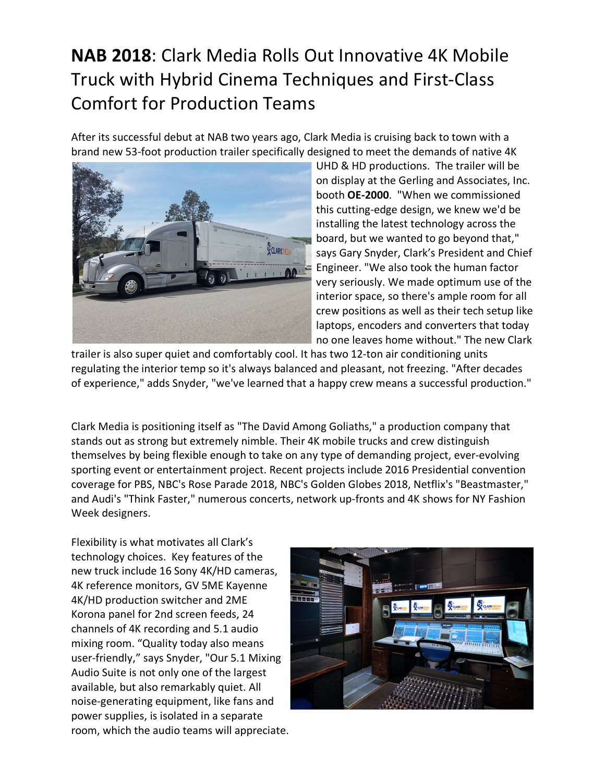## **NAB 2018**: Clark Media Rolls Out Innovative 4K Mobile Truck with Hybrid Cinema Techniques and First-Class Comfort for Production Teams

After its successful debut at NAB two years ago, Clark Media is cruising back to town with a brand new 53-foot production trailer specifically designed to meet the demands of native 4K



UHD & HD productions. The trailer will be on display at the Gerling and Associates, Inc. booth **OE-2000**. "When we commissioned this cutting-edge design, we knew we'd be installing the latest technology across the board, but we wanted to go beyond that," says Gary Snyder, Clark's President and Chief Engineer. "We also took the human factor very seriously. We made optimum use of the interior space, so there's ample room for all crew positions as well as their tech setup like laptops, encoders and converters that today no one leaves home without." The new Clark

trailer is also super quiet and comfortably cool. It has two 12-ton air conditioning units regulating the interior temp so it's always balanced and pleasant, not freezing. "After decades of experience," adds Snyder, "we've learned that a happy crew means a successful production."

Clark Media is positioning itself as "The David Among Goliaths," a production company that stands out as strong but extremely nimble. Their 4K mobile trucks and crew distinguish themselves by being flexible enough to take on any type of demanding project, ever-evolving sporting event or entertainment project. Recent projects include 2016 Presidential convention coverage for PBS, NBC's Rose Parade 2018, NBC's Golden Globes 2018, Netflix's "Beastmaster," and Audi's "Think Faster," numerous concerts, network up-fronts and 4K shows for NY Fashion Week designers.

Flexibility is what motivates all Clark's technology choices. Key features of the new truck include 16 Sony 4K/HD cameras, 4K reference monitors, GV 5ME Kayenne 4K/HD production switcher and 2ME Korona panel for 2nd screen feeds, 24 channels of 4K recording and 5.1 audio mixing room. "Quality today also means user-friendly," says Snyder, "Our 5.1 Mixing Audio Suite is not only one of the largest available, but also remarkably quiet. All noise-generating equipment, like fans and power supplies, is isolated in a separate room, which the audio teams will appreciate.